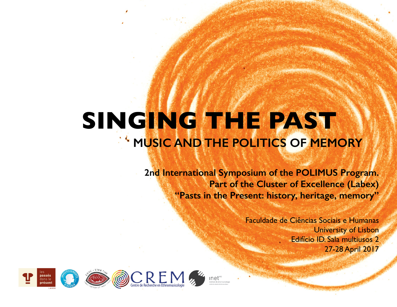# **SINGING THE PAST MUSIC AND THE POLITICS OF MEMORY**

**2nd International Symposium of the POLIMUS Program. Part of the Cluster of Excellence (Labex) "Pasts in the Present: history, heritage, memory"**

> Faculdade de Ciências Sociais e Humanas University of Lisbon Edifício ID. Sala multiusos 2 27-28 April 2017



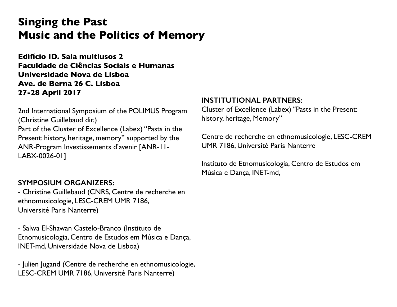# **Singing the Past Music and the Politics of Memory**

**Edifício ID. Sala multiusos 2 Faculdade de Ciências Sociais e Humanas Universidade Nova de Lisboa Ave. de Berna 26 C. Lisboa 27-28 April 2017**

2nd International Symposium of the POLIMUS Program (Christine Guillebaud dir.) Part of the Cluster of Excellence (Labex) "Pasts in the Present: history, heritage, memory" supported by the ANR-Program Investissements d'avenir [ANR-11- LABX-0026-01]

#### **SYMPOSIUM ORGANIZERS:**

- Christine Guillebaud (CNRS, Centre de recherche en ethnomusicologie, LESC-CREM UMR 7186, Université Paris Nanterre)

- Salwa El-Shawan Castelo-Branco (Instituto de Etnomusicologia, Centro de Estudos em Música e Dança, INET-md, Universidade Nova de Lisboa)

- Julien Jugand (Centre de recherche en ethnomusicologie, LESC-CREM UMR 7186, Université Paris Nanterre)

#### **INSTITUTIONAL PARTNERS:**

Cluster of Excellence (Labex) "Pasts in the Present: history, heritage, Memory"

Centre de recherche en ethnomusicologie, LESC-CREM UMR 7186, Université Paris Nanterre

Instituto de Etnomusicologia, Centro de Estudos em Música e Dança, INET-md,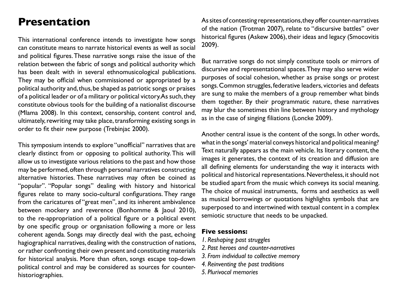# **Presentation**

This international conference intends to investigate how songs can constitute means to narrate historical events as well as social and political figures. These narrative songs raise the issue of the relation between the fabric of songs and political authority which has been dealt with in several ethnomusicological publications. They may be official when commissioned or appropriated by a political authority and, thus, be shaped as patriotic songs or praises of a political leader or of a military or political victory. As such, they constitute obvious tools for the building of a nationalist discourse (Mlama 2008). In this context, censorship, content control and, ultimately, rewriting may take place, transforming existing songs in order to fit their new purpose (Trebinjac 2000).

This symposium intends to explore "unofficial" narratives that are clearly distinct from or opposing to political authority. This will allow us to investigate various relations to the past and how those may be performed, often through personal narratives constructing alternative histories. These narratives may often be coined as "popular". "Popular songs" dealing with history and historical figures relate to many socio-cultural configurations. They range from the caricatures of "great men", and its inherent ambivalence between mockery and reverence (Bonhomme & Jaoul 2010), to the re-appropriation of a political figure or a political event by one specific group or organisation following a more or less coherent agenda. Songs may directly deal with the past, echoing hagiographical narratives, dealing with the construction of nations, or rather confronting their own present and constituting materials for historical analysis. More than often, songs escape top-down political control and may be considered as sources for counterhistoriographies.

As sites of contesting representations, they offer counter-narratives of the nation (Trotman 2007), relate to "discursive battles" over historical figures (Askew 2006), their ideas and legacy (Smocovitis 2009).

But narrative songs do not simply constitute tools or mirrors of discursive and representational spaces. They may also serve wider purposes of social cohesion, whether as praise songs or protest songs. Common struggles, federative leaders, victories and defeats are sung to make the members of a group remember what binds them together. By their programmatic nature, these narratives may blur the sometimes thin line between history and mythology as in the case of singing filiations (Loncke 2009).

Another central issue is the content of the songs. In other words, what in the songs' material conveys historical and political meaning? Text naturally appears as the main vehicle. Its literary content, the images it generates, the context of its creation and diffusion are all defining elements for understanding the way it interacts with political and historical representations. Nevertheless, it should not be studied apart from the music which conveys its social meaning. The choice of musical instruments, forms and aesthetics as well as musical borrowings or quotations highlights symbols that are superposed to and intertwined with textual content in a complex semiotic structure that needs to be unpacked.

#### **Five sessions:**

- *1. Reshaping past struggles*
- *2. Past heroes and counter-narratives*
- *3. From individual to collective memory*
- *4. Reinventing the past traditions*
- *5. Plurivocal memories*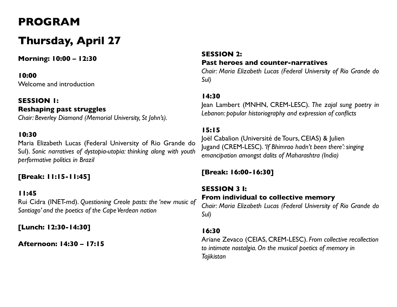# **PROGRAM**

# **Thursday, April 27**

**Morning: 10:00 – 12:30**

#### **10:00**

Welcome and introduction

#### **SESSION 1: Reshaping past struggles** *Chair: Beverley Diamond (Memorial University, St John's).*

#### **10:30**

Maria Elizabeth Lucas (Federal University of Rio Grande do Sul). *Sonic narratives of dystopia-utopia: thinking along with youth performative politics in Brazil*

#### **[Break: 11:15-11:45]**

#### **11:45**

Rui Cidra (INET-md). *Questioning Creole pasts: the 'new music of Santiago' and the poetics of the Cape Verdean nation*

**[Lunch: 12:30-14:30]**

**Afternoon: 14:30 – 17:15**

#### **SESSION 2: Past heroes and counter-narratives**

*Chair: Maria Elizabeth Lucas (Federal University of Rio Grande do Sul)*

#### **14:30**

Jean Lambert (MNHN, CREM-LESC). *The zajal sung poetry in Lebanon: popular historiography and expression of conflicts*

#### **15:15**

Joël Cabalion (Université de Tours, CEIAS) & Julien Jugand (CREM-LESC). *'If Bhimrao hadn't been there': singing emancipation amongst dalits of Maharashtra (India)*

#### **[Break: 16:00-16:30]**

### **SESSION 3 I: From individual to collective memory**

*Chair: Maria Elizabeth Lucas (Federal University of Rio Grande do Sul)*

#### **16:30**

Ariane Zevaco (CEIAS, CREM-LESC). *From collective recollection to intimate nostalgia. On the musical poetics of memory in Tajikistan*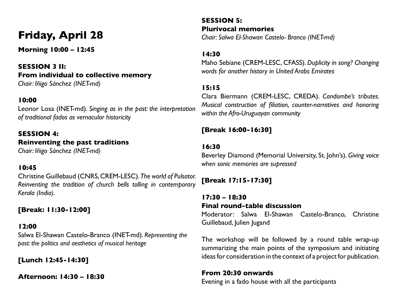# **Friday, April 28**

**Morning 10:00 – 12:45**

**SESSION 3 II: From individual to collective memory** *Chair: Iñigo Sánchez (INET-md)*

#### **10:00**

Leonor Losa (INET-md). *Singing as in the past: the interpretation of traditional fados as vernacular historicity* 

### **SESSION 4: Reinventing the past traditions**

*Chair: Iñigo Sánchez (INET-md)*

#### **10:45**

Christine Guillebaud (CNRS, CREM-LESC). *The world of Pulsator. Reinventing the tradition of church bells tolling in contemporary Kerala (India).*

#### **[Break: 11:30-12:00]**

#### **12:00**

Salwa El-Shawan Castelo-Branco (INET-md). *Representing the past: the politics and aesthetics of musical heritage*

**[Lunch 12:45-14:30]**

**Afternoon: 14:30 – 18:30**

**SESSION 5: Plurivocal memories** *Chair: Salwa El-Shawan Castelo- Branco (INET-md)*

#### **14:30**

Maho Sebiane (CREM-LESC, CFASS). *Duplicity in song? Changing words for another history in United Arabs Emirates*

#### **15:15**

Clara Biermann (CREM-LESC, CREDA). *Candombe's tributes. Musical construction of filiation, counter-narratives and honoring within the Afro-Uruguayan community* 

#### **[Break 16:00-16:30]**

#### **16:30**

Beverley Diamond (Memorial University, St. John's). *Giving voice when sonic memories are supressed*

#### **[Break 17:15-17:30]**

**17:30 – 18:30 Final round-table discussion** Moderator: Salwa El-Shawan Castelo-Branco, Christine Guillebaud, Julien Jugand

The workshop will be followed by a round table wrap-up summarizing the main points of the symposium and initiating ideas for consideration in the context of a project for publication.

#### **From 20:30 onwards**

Evening in a fado house with all the participants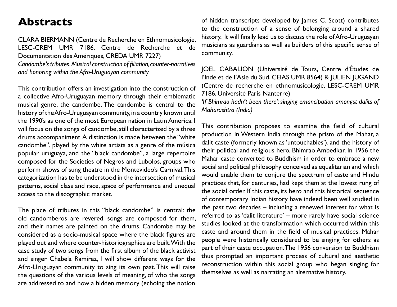### **Abstracts**

CLARA BIERMANN (Centre de Recherche en Ethnomusicologie, LESC-CREM UMR 7186, Centre de Recherche et de Documentation des Amériques, CREDA UMR 7227)

*Candombe's tributes. Musical construction of filiation, counter-narratives and honoring within the Afro-Uruguayan community*

This contribution offers an investigation into the construction of a collective Afro-Uruguayan memory through their emblematic musical genre, the candombe. The candombe is central to the history of the Afro-Uruguayan community, in a country known until the 1990's as one of the most European nation in Latin America. I will focus on the songs of candombe, still characterized by a three drums accompaniment. A distinction is made between the "white candombe", played by the white artists as a genre of the música popular uruguaya, and the "black candombe", a large repertoire composed for the Societies of Negros and Lubolos, groups who perform shows of sung theatre in the Montevideo's Carnival. This categorization has to be understood in the intersection of musical patterns, social class and race, space of performance and unequal access to the discographic market.

The place of tributes in this "black candombe" is central: the old candomberos are revered, songs are composed for them, and their names are painted on the drums. Candombe may be considered as a socio-musical space where the black figures are played out and where counter-historiographies are built. With the case study of two songs from the first album of the black activist and singer Chabela Ramírez, I will show different ways for the Afro-Uruguayan community to sing its own past. This will raise the questions of the various levels of meaning, of who the songs are addressed to and how a hidden memory (echoing the notion

of hidden transcripts developed by James C. Scott) contributes to the construction of a sense of belonging around a shared history. It will finally lead us to discuss the role of Afro-Uruguayan musicians as guardians as well as builders of this specific sense of community.

JOËL CABALION (Université de Tours, Centre d'Études de l'Inde et de l'Asie du Sud, CEIAS UMR 8564) & JULIEN JUGAND (Centre de recherche en ethnomusicologie, LESC-CREM UMR 7186, Université Paris Nanterre)

*'If Bhimrao hadn't been there': singing emancipation amongst dalits of Maharashtra (India)*

This contribution proposes to examine the field of cultural production in Western India through the prism of the Mahar, a dalit caste (formerly known as 'untouchables'), and the history of their political and religious hero, Bhimrao Ambedkar. In 1956 the Mahar caste converted to Buddhism in order to embrace a new social and political philosophy conceived as equalitarian and which would enable them to conjure the spectrum of caste and Hindu practices that, for centuries, had kept them at the lowest rung of the social order. If this caste, its hero and this historical sequence of contemporary Indian history have indeed been well studied in the past two decades – including a renewed interest for what is referred to as 'dalit literature' – more rarely have social science studies looked at the transformation which occurred within this caste and around them in the field of musical practices. Mahar people were historically considered to be singing for others as part of their caste occupation. The 1956 conversion to Buddhism thus prompted an important process of cultural and aesthetic reconstruction within this social group who began singing for themselves as well as narrating an alternative history.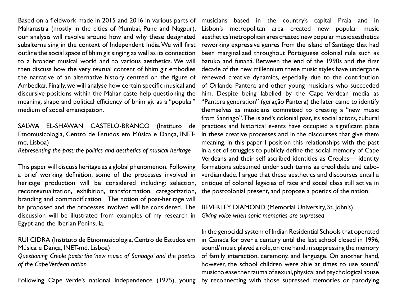Based on a fieldwork made in 2015 and 2016 in various parts of Maharastra (mostly in the cities of Mumbai, Pune and Nagpur), our analysis will revolve around how and why these designated subalterns sing in the context of Independent India. We will first outline the social space of bhim git singing as well as its connection to a broader musical world and to various aesthetics. We will then discuss how the very textual content of bhim git embodies the narrative of an alternative history centred on the figure of Ambedkar. Finally, we will analyse how certain specific musical and discursive positions within the Mahar caste help questioning the meaning, shape and political efficiency of bhim git as a "popular" medium of social emancipation.

SALWA EL-SHAWAN CASTELO-BRANCO (Instituto de Etnomusicologia, Centro de Estudos em Música e Dança, INETmd, Lisboa)

*Representing the past: the politics and aesthetics of musical heritage*

This paper will discuss heritage as a global phenomenon. Following a brief working definition, some of the processes involved in heritage production will be considered including: selection, recontextualization, exhibition, transformation, categorization, branding and commodification. The notion of post-heritage will be proposed and the processes involved will be considered. The discussion will be illustrated from examples of my research in Egypt and the Iberian Peninsula.

#### RUI CIDRA (Instituto de Etnomusicologia, Centro de Estudos em Música e Dança, INET-md, Lisboa)

*Questioning Creole pasts: the 'new music of Santiago' and the poetics of the Cape Verdean nation*

Following Cape Verde's national independence (1975), young

musicians based in the country's capital Praia and in Lisbon's metropolitan area created new popular music aesthetics'metropolitan area created new popular music aesthetics reworking expressive genres from the island of Santiago that had been marginalized throughout Portuguese colonial rule such as batuko and funaná. Between the end of the 1990s and the first decade of the new millennium these music styles have undergone renewed creative dynamics, especially due to the contribution of Orlando Pantera and other young musicians who succeeded him. Despite being labelled by the Cape Verdean media as "Pantera generation" (geração Pantera) the later came to identify themselves as musicians committed to creating a "new music from Santiago". The island's colonial past, its social actors, cultural practices and historical events have occupied a significant place in these creative processes and in the discourses that give them meaning. In this paper I position this relationships with the past in a set of struggles to publicly define the social memory of Cape Verdeans and their self ascribed identities as Creoles— identity formations subsumed under such terms as creolidade and caboverdianidade. I argue that these aesthetics and discourses entail a critique of colonial legacies of race and social class still active in the postcolonial present, and propose a poetics of the nation.

#### BEVERLEY DIAMOND (Memorial University, St. John's) *Giving voice when sonic memories are supressed*

In the genocidal system of Indian Residential Schools that operated in Canada for over a century until the last school closed in 1996, sound/ music played a role, on one hand, in suppressing the memory of family interaction, ceremony, and language. On another hand, however, the school children were able at times to use sound/ music to ease the trauma of sexual, physical and psychological abuse by reconnecting with those supressed memories or parodying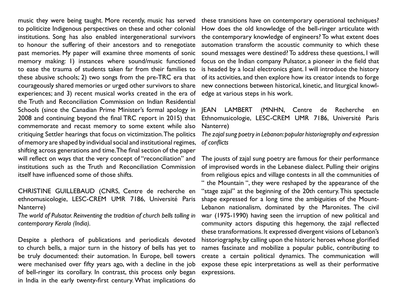to politicize Indigenous perspectives on these and other colonial institutions. Song has also enabled intergenerational survivors to honour the suffering of their ancestors and to renegotiate past memories. My paper will examine three moments of sonic memory making: 1) instances where sound/music functioned to ease the trauma of students taken far from their families to these abusive schools; 2) two songs from the pre-TRC era that courageously shared memories or urged other survivors to share experiences; and 3) recent musical works created in the era of edge at various steps in his work. the Truth and Reconciliation Commission on Indian Residential Schools (since the Canadian Prime Minister's formal apology in 2008 and continuing beyond the final TRC report in 2015) that commemorate and recast memory to some extent while also critiquing Settler hearings that focus on victimization. The politics of memory are shaped by individual social and institutional regimes, shifting across generations and time. The final section of the paper will reflect on ways that the very concept of "reconciliation" and institutions such as the Truth and Reconciliation Commission itself have influenced some of those shifts.

CHRISTINE GUILLEBAUD (CNRS, Centre de recherche en ethnomusicologie, LESC-CREM UMR 7186, Université Paris Nanterre)

*The world of Pulsator. Reinventing the tradition of church bells tolling in contemporary Kerala (India).*

Despite a plethora of publications and periodicals devoted to church bells, a major turn in the history of bells has yet to be truly documented: their automation. In Europe, bell towers were mechanised over fifty years ago, with a decline in the job of bell-ringer its corollary. In contrast, this process only began in India in the early twenty-first century. What implications do

music they were being taught. More recently, music has served these transitions have on contemporary operational techniques? How does the old knowledge of the bell-ringer articulate with the contemporary knowledge of engineers? To what extent does automation transform the acoustic community to which these sound messages were destined? To address these questions, I will focus on the Indian company Pulsator, a pioneer in the field that is headed by a local electronics giant. I will introduce the history of its activities, and then explore how its creator intends to forge new connections between historical, kinetic, and liturgical knowl-

#### JEAN LAMBERT (MNHN, Centre de Recherche en Ethnomusicologie, LESC-CREM UMR 7186, Université Paris Nanterre)

*The zajal sung poetry in Lebanon: popular historiography and expression of conflicts*

The jousts of zajal sung poetry are famous for their performance of improvised words in the Lebanese dialect. Pulling their origins from religious epics and village contests in all the communities of " the Mountain ", they were reshaped by the appearance of the "stage zajal" at the beginning of the 20th century. This spectacle shape expressed for a long time the ambiguities of the Mount-Lebanon nationalism, dominated by the Maronites. The civil war (1975-1990) having seen the irruption of new political and community actors disputing this hegemony, the zajal reflected these transformations. It expressed divergent visions of Lebanon's historiography, by calling upon the historic heroes whose glorified names fascinate and mobilize a popular public, contributing to create a certain political dynamics. The communication will expose these epic interpretations as well as their performative expressions.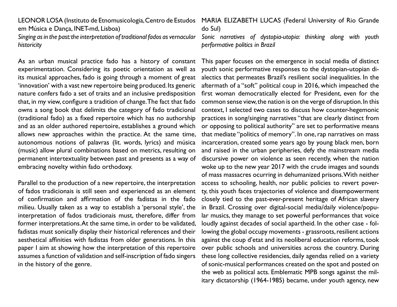em Música e Dança, INET-md, Lisboa)

Singing as in the past: the interpretation of traditional fados as vernacular Sonic narratives of dystopia-utopia: thinking along with youth *historicity* 

As an urban musical practice fado has a history of constant experimentation. Considering its poetic orientation as well as its musical approaches, fado is going through a moment of great 'innovation' with a vast new repertoire being produced. Its generic nature confers fado a set of traits and an inclusive predisposition that, in my view, configure a tradition of change. The fact that fado owns a song book that delimits the category of fado tradicional (traditional fado) as a fixed repertoire which has no authorship and as an older authored repertoire, establishes a ground which allows new approaches within the practice. At the same time, autonomous notions of palavras (lit. words, lyrics) and música (music) allow plural combinations based on metrics, resulting on permanent intertextuality between past and presents as a way of embracing novelty within fado orthodoxy.

Parallel to the production of a new repertoire, the interpretation of fados tradicionais is still seen and experienced as an element of confirmation and affirmation of the fadistas in the fado milieu. Usually taken as a way to establish a 'personal style', the interpretation of fados tradicionais must, therefore, differ from former interpretations. At the same time, in order to be validated, fadistas must sonically display their historical references and their aesthetical affinities with fadistas from older generations. In this paper I aim at showing how the interpretation of this repertoire assumes a function of validation and self-inscription of fado singers in the history of the genre.

LEONOR LOSA (Instituto de Etnomusicologia, Centro de Estudos MARIA ELIZABETH LUCAS (Federal University of Rio Grande do Sul)

*performative politics in Brazil*

This paper focuses on the emergence in social media of distinct youth sonic performative responses to the dystopian-utopian dialectics that permeates Brazil's resilient social inequalities. In the aftermath of a "soft" political coup in 2016, which impeached the first woman democratically elected for President, even for the common sense view, the nation is on the verge of disruption. In this context, I selected two cases to discuss how counter-hegemonic practices in song/singing narratives "that are clearly distinct from or opposing to political authority" are set to performative means that mediate "politics of memory". In one, rap narratives on mass incarceration, created some years ago by young black men, born and raised in the urban peripheries, defy the mainstream media discursive power on violence as seen recently, when the nation woke up to the new year 2017 with the crude images and sounds of mass massacres ocurring in dehumanized prisons. With neither access to schooling, health, nor public policies to revert poverty, this youth faces trajectories of violence and disempowerment closely tied to the past-ever-present heritage of African slavery in Brazil. Crossing over digital-social media/daily violence/popular musics, they manage to set powerful performances that voice loudly against decades of social apartheid. In the other case - following the global occupy movements - grassroots, resilient actions against the coup d'etat and its neoliberal education reforms, took over public schools and universities across the country. During these long collective residencies, daily agendas relied on a variety of sonic-musical performances created on the spot and posted on the web as political acts. Emblematic MPB songs against the military dictatorship (1964-1985) became, under youth agency, new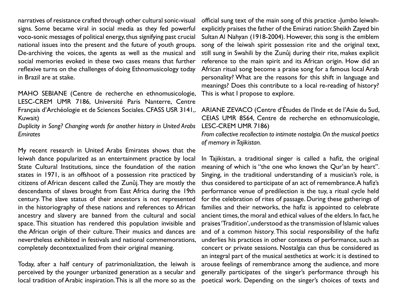narratives of resistance crafted through other cultural sonic-visual signs. Some became viral in social media as they fed powerful voco-sonic messages of political energy, thus signifying past crucial national issues into the present and the future of youth groups. De-archiving the voices, the agents as well as the musical and social memories evoked in these two cases means that further reflexive turns on the challenges of doing Ethnomusicology today in Brazil are at stake.

MAHO SEBIANE (Centre de recherche en ethnomusicologie, LESC-CREM UMR 7186, Université Paris Nanterre, Centre Français d'Archéologie et de Sciences Sociales. CFASS USR 3141,. ARIANE ZEVACO (Centre d'Études de l'Inde et de l'Asie du Sud, Kuwait)

*Duplicity in Song? Changing words for another history in United Arabs Emirates*

My recent research in United Arabs Emirates shows that the leiwah dance popularized as an entertainment practice by local State Cultural Institutions, since the foundation of the nation states in 1971, is an offshoot of a possession rite practiced by citizens of African descent called the Zunûj. They are mostly the descendants of slaves brought from East Africa during the 19th century. The slave status of their ancestors is not represented in the historiography of these nations and references to African ancestry and slavery are banned from the cultural and social space. This situation has rendered this population invisible and the African origin of their culture. Their musics and dances are nevertheless exhibited in festivals and national commemorations, completely decontextualized from their original meaning.

Today, after a half century of patrimonialization, the leiwah is perceived by the younger urbanized generation as a secular and local tradition of Arabic inspiration. This is all the more so as the

official sung text of the main song of this practice -Jumbo leiwahexplicitly praises the father of the Emirati nation: Sheikh Zayed bin Sultan Al Nahyan (1918-2004). However, this song is the emblem song of the leiwah spirit possession rite and the original text, still sung in Swahili by the Zunûj during their rite, makes explicit reference to the main spirit and its African origin. How did an African ritual song become a praise song for a famous local Arab personality? What are the reasons for this shift in language and meanings? Does this contribute to a local re-reading of history? This is what I propose to explore.

# CEIAS UMR 8564, Centre de recherche en ethnomusicologie, LESC-CREM UMR 7186)

*From collective recollection to intimate nostalgia. On the musical poetics of memory in Tajikistan.*

In Tajikistan, a traditional singer is called a hafiz, the original meaning of which is "the one who knows the Qur'an by heart". Singing, in the traditional understanding of a musician's role, is thus considered to participate of an act of remembrance. A hafiz's performance venue of predilection is the tuy, a ritual cycle held for the celebration of rites of passage. During these gatherings of families and their networks, the hafiz is appointed to celebrate ancient times, the moral and ethical values of the elders. In fact, he praises 'Tradition', understood as the transmission of Islamic values and of a common history. This social responsibility of the hafiz underlies his practices in other contexts of performance, such as concert or private sessions. Nostalgia can thus be considered as an integral part of the musical aesthetics at work: it is destined to arouse feelings of remembrance among the audience, and more generally participates of the singer's performance through his poetical work. Depending on the singer's choices of texts and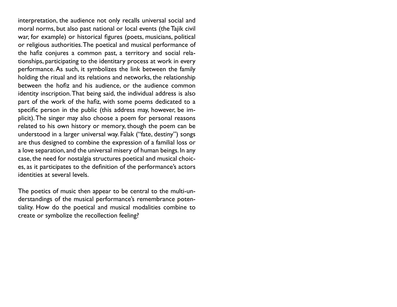interpretation, the audience not only recalls universal social and moral norms, but also past national or local events (the Tajik civil war, for example) or historical figures (poets, musicians, political or religious authorities. The poetical and musical performance of the hafiz conjures a common past, a territory and social relationships, participating to the identitary process at work in every performance. As such, it symbolizes the link between the family holding the ritual and its relations and networks, the relationship between the hofiz and his audience, or the audience common identity inscription. That being said, the individual address is also part of the work of the hafiz, with some poems dedicated to a specific person in the public (this address may, however, be implicit). The singer may also choose a poem for personal reasons related to his own history or memory, though the poem can be understood in a larger universal way. Falak ("fate, destiny") songs are thus designed to combine the expression of a familial loss or a love separation, and the universal misery of human beings. In any case, the need for nostalgia structures poetical and musical choices, as it participates to the definition of the performance's actors identities at several levels.

The poetics of music then appear to be central to the multi-understandings of the musical performance's remembrance potentiality. How do the poetical and musical modalities combine to create or symbolize the recollection feeling?